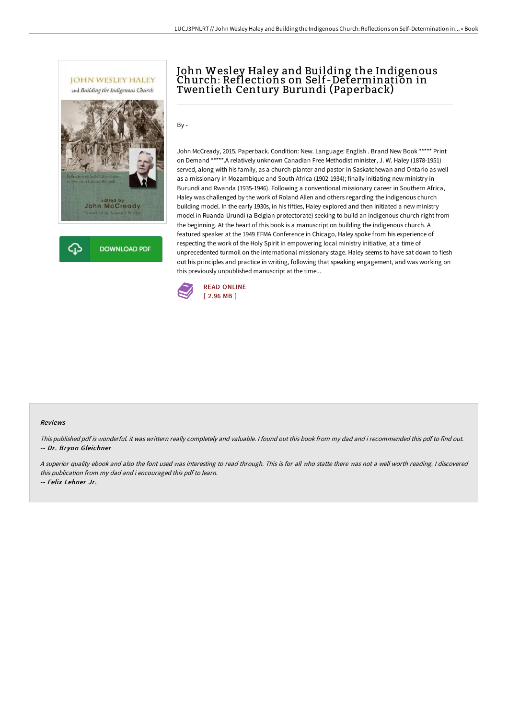



# John Wesley Haley and Building the Indigenous Church: Reflections on Self-Determination in Twentieth Century Burundi (Paperback)

 $Bv -$ 

John McCready, 2015. Paperback. Condition: New. Language: English . Brand New Book \*\*\*\*\* Print on Demand \*\*\*\*\*.A relatively unknown Canadian Free Methodist minister, J. W. Haley (1878-1951) served, along with his family, as a church-planter and pastor in Saskatchewan and Ontario as well as a missionary in Mozambique and South Africa (1902-1934); finally initiating new ministry in Burundi and Rwanda (1935-1946). Following a conventional missionary career in Southern Africa, Haley was challenged by the work of Roland Allen and others regarding the indigenous church building model. In the early 1930s, in his fifties, Haley explored and then initiated a new ministry model in Ruanda-Urundi (a Belgian protectorate) seeking to build an indigenous church right from the beginning. At the heart of this book is a manuscript on building the indigenous church. A featured speaker at the 1949 EFMA Conference in Chicago, Haley spoke from his experience of respecting the work of the Holy Spirit in empowering local ministry initiative, at a time of unprecedented turmoil on the international missionary stage. Haley seems to have sat down to flesh out his principles and practice in writing, following that speaking engagement, and was working on this previously unpublished manuscript at the time...



#### Reviews

This published pdf is wonderful. it was writtern really completely and valuable. I found out this book from my dad and i recommended this pdf to find out. -- Dr. Bryon Gleichner

<sup>A</sup> superior quality ebook and also the font used was interesting to read through. This is for all who statte there was not <sup>a</sup> well worth reading. <sup>I</sup> discovered this publication from my dad and i encouraged this pdf to learn. -- Felix Lehner Jr.